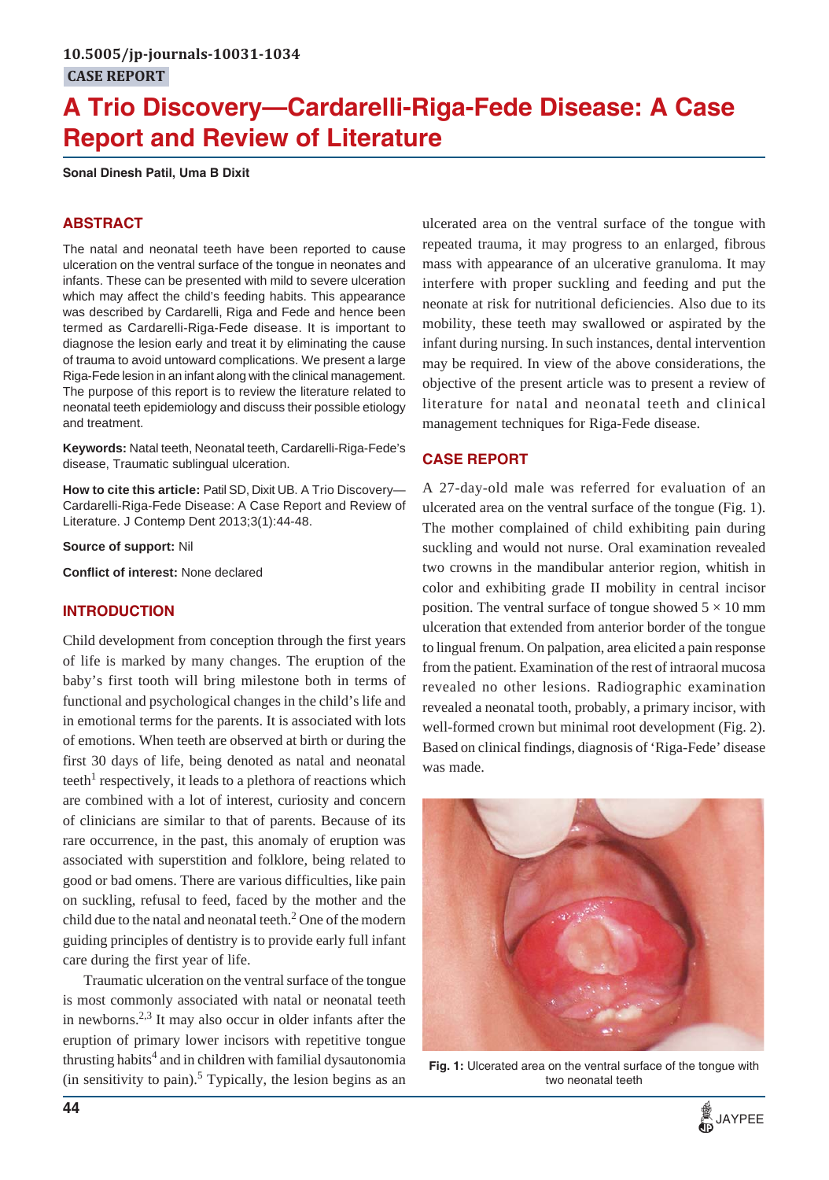# **A Trio Discovery—Cardarelli-Riga-Fede Disease: A Case Report and Review of Literature**

**Sonal Dinesh Patil, Uma B Dixit**

## **ABSTRACT**

The natal and neonatal teeth have been reported to cause ulceration on the ventral surface of the tongue in neonates and infants. These can be presented with mild to severe ulceration which may affect the child's feeding habits. This appearance was described by Cardarelli, Riga and Fede and hence been termed as Cardarelli-Riga-Fede disease. It is important to diagnose the lesion early and treat it by eliminating the cause of trauma to avoid untoward complications. We present a large Riga-Fede lesion in an infant along with the clinical management. The purpose of this report is to review the literature related to neonatal teeth epidemiology and discuss their possible etiology and treatment.

**Keywords:** Natal teeth, Neonatal teeth, Cardarelli-Riga-Fede's disease, Traumatic sublingual ulceration.

**How to cite this article:** Patil SD, Dixit UB. A Trio Discovery— Cardarelli-Riga-Fede Disease: A Case Report and Review of Literature. J Contemp Dent 2013;3(1):44-48.

**Source of support:** Nil

**Conflict of interest:** None declared

#### **INTRODUCTION**

Child development from conception through the first years of life is marked by many changes. The eruption of the baby's first tooth will bring milestone both in terms of functional and psychological changes in the child's life and in emotional terms for the parents. It is associated with lots of emotions. When teeth are observed at birth or during the first 30 days of life, being denoted as natal and neonatal teeth<sup>1</sup> respectively, it leads to a plethora of reactions which are combined with a lot of interest, curiosity and concern of clinicians are similar to that of parents. Because of its rare occurrence, in the past, this anomaly of eruption was associated with superstition and folklore, being related to good or bad omens. There are various difficulties, like pain on suckling, refusal to feed, faced by the mother and the child due to the natal and neonatal teeth. $^2$  One of the modern guiding principles of dentistry is to provide early full infant care during the first year of life.

Traumatic ulceration on the ventral surface of the tongue is most commonly associated with natal or neonatal teeth in newborns. $2,3$  It may also occur in older infants after the eruption of primary lower incisors with repetitive tongue thrusting habits $^4$  and in children with familial dysautonomia  $(in$  sensitivity to pain).<sup>5</sup> Typically, the lesion begins as an

ulcerated area on the ventral surface of the tongue with repeated trauma, it may progress to an enlarged, fibrous mass with appearance of an ulcerative granuloma. It may interfere with proper suckling and feeding and put the neonate at risk for nutritional deficiencies. Also due to its mobility, these teeth may swallowed or aspirated by the infant during nursing. In such instances, dental intervention may be required. In view of the above considerations, the objective of the present article was to present a review of literature for natal and neonatal teeth and clinical management techniques for Riga-Fede disease.

# **CASE REPORT**

A 27-day-old male was referred for evaluation of an ulcerated area on the ventral surface of the tongue (Fig. 1). The mother complained of child exhibiting pain during suckling and would not nurse. Oral examination revealed two crowns in the mandibular anterior region, whitish in color and exhibiting grade II mobility in central incisor position. The ventral surface of tongue showed  $5 \times 10$  mm ulceration that extended from anterior border of the tongue to lingual frenum. On palpation, area elicited a pain response from the patient. Examination of the rest of intraoral mucosa revealed no other lesions. Radiographic examination revealed a neonatal tooth, probably, a primary incisor, with well-formed crown but minimal root development (Fig. 2). Based on clinical findings, diagnosis of 'Riga-Fede' disease was made.



**Fig. 1:** Ulcerated area on the ventral surface of the tongue with two neonatal teeth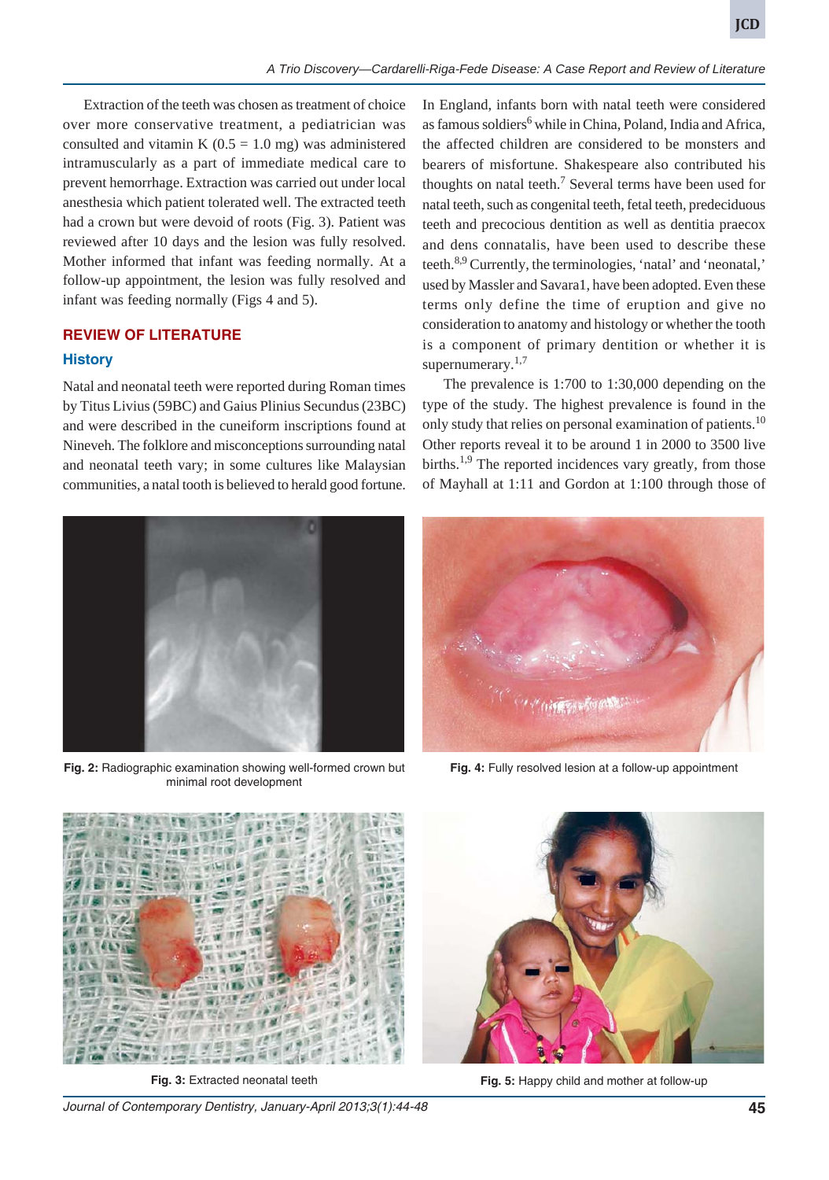Extraction of the teeth was chosen as treatment of choice over more conservative treatment, a pediatrician was consulted and vitamin K  $(0.5 = 1.0$  mg) was administered intramuscularly as a part of immediate medical care to prevent hemorrhage. Extraction was carried out under local anesthesia which patient tolerated well. The extracted teeth had a crown but were devoid of roots (Fig. 3). Patient was reviewed after 10 days and the lesion was fully resolved. Mother informed that infant was feeding normally. At a follow-up appointment, the lesion was fully resolved and infant was feeding normally (Figs 4 and 5).

# **REVIEW OF LITERATURE History**

Natal and neonatal teeth were reported during Roman times by Titus Livius (59BC) and Gaius Plinius Secundus (23BC) and were described in the cuneiform inscriptions found at Nineveh. The folklore and misconceptions surrounding natal and neonatal teeth vary; in some cultures like Malaysian communities, a natal tooth is believed to herald good fortune.



**Fig. 2:** Radiographic examination showing well-formed crown but minimal root development

In England, infants born with natal teeth were considered as famous soldiers<sup>6</sup> while in China, Poland, India and Africa, the affected children are considered to be monsters and bearers of misfortune. Shakespeare also contributed his thoughts on natal teeth.<sup>7</sup> Several terms have been used for natal teeth, such as congenital teeth, fetal teeth, predeciduous teeth and precocious dentition as well as dentitia praecox and dens connatalis, have been used to describe these teeth.8,9 Currently, the terminologies, 'natal' and 'neonatal,' used by Massler and Savara1, have been adopted. Even these terms only define the time of eruption and give no consideration to anatomy and histology or whether the tooth is a component of primary dentition or whether it is supernumerary. $1,7$ 

The prevalence is 1:700 to 1:30,000 depending on the type of the study. The highest prevalence is found in the only study that relies on personal examination of patients.<sup>10</sup> Other reports reveal it to be around 1 in 2000 to 3500 live births.<sup>1,9</sup> The reported incidences vary greatly, from those of Mayhall at 1:11 and Gordon at 1:100 through those of



**Fig. 4:** Fully resolved lesion at a follow-up appointment



*Journal of Contemporary Dentistry, January-April 2013;3(1):44-48* **45**



**Fig. 3:** Extracted neonatal teeth **Fig. 5:** Happy child and mother at follow-up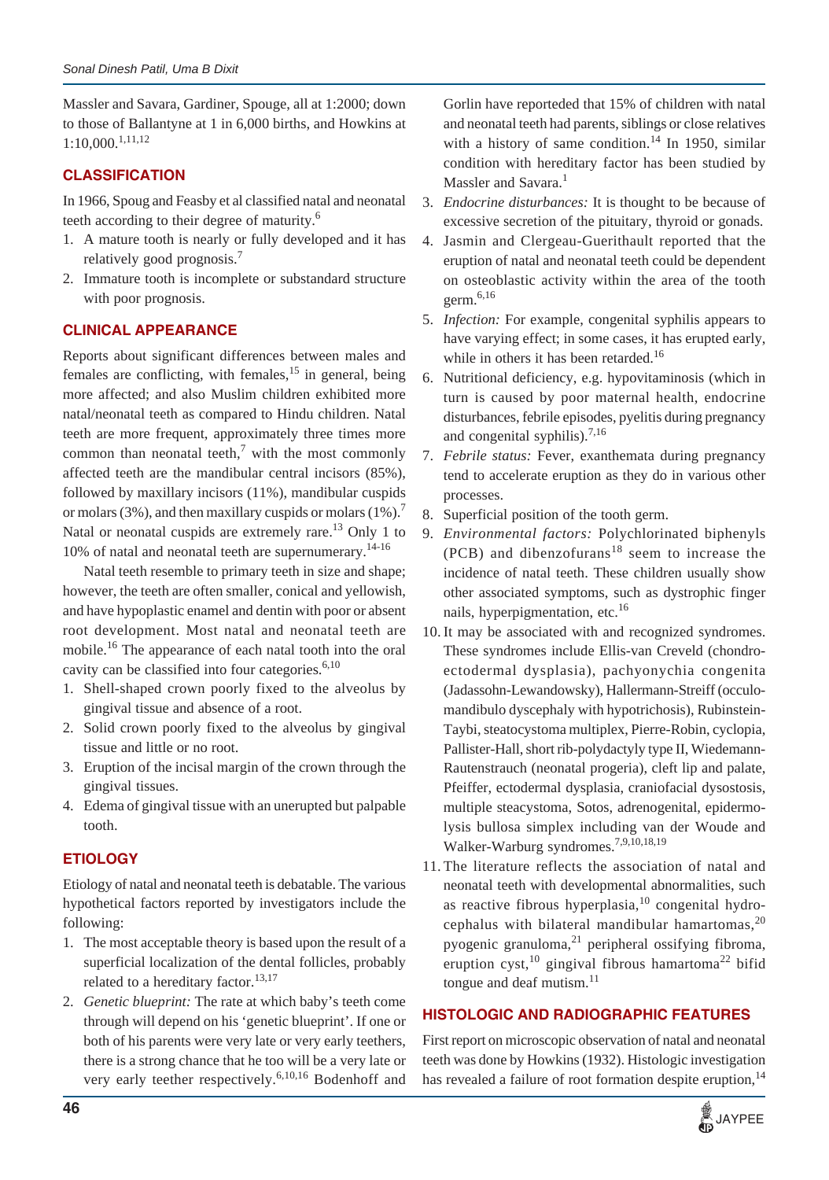Massler and Savara, Gardiner, Spouge, all at 1:2000; down to those of Ballantyne at 1 in 6,000 births, and Howkins at 1:10,000.1,11,12

## **CLASSIFICATION**

In 1966, Spoug and Feasby et al classified natal and neonatal teeth according to their degree of maturity.<sup>6</sup>

- 1. A mature tooth is nearly or fully developed and it has relatively good prognosis.<sup>7</sup>
- 2. Immature tooth is incomplete or substandard structure with poor prognosis.

### **CLINICAL APPEARANCE**

Reports about significant differences between males and females are conflicting, with females,  $15$  in general, being more affected; and also Muslim children exhibited more natal/neonatal teeth as compared to Hindu children. Natal teeth are more frequent, approximately three times more common than neonatal teeth, $\frac{7}{1}$  with the most commonly affected teeth are the mandibular central incisors (85%), followed by maxillary incisors (11%), mandibular cuspids or molars (3%), and then maxillary cuspids or molars  $(1\%)$ .<sup>7</sup> Natal or neonatal cuspids are extremely rare.<sup>13</sup> Only 1 to 10% of natal and neonatal teeth are supernumerary.<sup>14-16</sup>

Natal teeth resemble to primary teeth in size and shape; however, the teeth are often smaller, conical and yellowish, and have hypoplastic enamel and dentin with poor or absent root development. Most natal and neonatal teeth are mobile.16 The appearance of each natal tooth into the oral cavity can be classified into four categories. $6,10$ 

- 1. Shell-shaped crown poorly fixed to the alveolus by gingival tissue and absence of a root.
- 2. Solid crown poorly fixed to the alveolus by gingival tissue and little or no root.
- 3. Eruption of the incisal margin of the crown through the gingival tissues.
- 4. Edema of gingival tissue with an unerupted but palpable tooth.

# **ETIOLOGY**

Etiology of natal and neonatal teeth is debatable. The various hypothetical factors reported by investigators include the following:

- 1. The most acceptable theory is based upon the result of a superficial localization of the dental follicles, probably related to a hereditary factor.<sup>13,17</sup>
- 2. *Genetic blueprint:* The rate at which baby's teeth come through will depend on his 'genetic blueprint'. If one or both of his parents were very late or very early teethers, there is a strong chance that he too will be a very late or very early teether respectively.<sup>6,10,16</sup> Bodenhoff and

Gorlin have reporteded that 15% of children with natal and neonatal teeth had parents, siblings or close relatives with a history of same condition.<sup>14</sup> In 1950, similar condition with hereditary factor has been studied by Massler and Savara.<sup>1</sup>

- 3. *Endocrine disturbances:* It is thought to be because of excessive secretion of the pituitary, thyroid or gonads.
- 4. Jasmin and Clergeau-Guerithault reported that the eruption of natal and neonatal teeth could be dependent on osteoblastic activity within the area of the tooth germ. $6,16$
- 5. *Infection:* For example, congenital syphilis appears to have varying effect; in some cases, it has erupted early, while in others it has been retarded.<sup>16</sup>
- 6. Nutritional deficiency, e.g. hypovitaminosis (which in turn is caused by poor maternal health, endocrine disturbances, febrile episodes, pyelitis during pregnancy and congenital syphilis). $^{7,16}$
- 7. *Febrile status:* Fever, exanthemata during pregnancy tend to accelerate eruption as they do in various other processes.
- 8. Superficial position of the tooth germ.
- 9. *Environmental factors:* Polychlorinated biphenyls (PCB) and dibenzofurans<sup>18</sup> seem to increase the incidence of natal teeth. These children usually show other associated symptoms, such as dystrophic finger nails, hyperpigmentation, etc.<sup>16</sup>
- 10. It may be associated with and recognized syndromes. These syndromes include Ellis-van Creveld (chondroectodermal dysplasia), pachyonychia congenita (Jadassohn-Lewandowsky), Hallermann-Streiff (occulomandibulo dyscephaly with hypotrichosis), Rubinstein-Taybi, steatocystoma multiplex, Pierre-Robin, cyclopia, Pallister-Hall, short rib-polydactyly type II, Wiedemann-Rautenstrauch (neonatal progeria), cleft lip and palate, Pfeiffer, ectodermal dysplasia, craniofacial dysostosis, multiple steacystoma, Sotos, adrenogenital, epidermolysis bullosa simplex including van der Woude and Walker-Warburg syndromes.7,9,10,18,19
- 11. The literature reflects the association of natal and neonatal teeth with developmental abnormalities, such as reactive fibrous hyperplasia,<sup>10</sup> congenital hydrocephalus with bilateral mandibular hamartomas, $^{20}$ pyogenic granuloma, $^{21}$  peripheral ossifying fibroma, eruption cyst,<sup>10</sup> gingival fibrous hamartoma<sup>22</sup> bifid tongue and deaf mutism.<sup>11</sup>

#### **HISTOLOGIC AND RADIOGRAPHIC FEATURES**

First report on microscopic observation of natal and neonatal teeth was done by Howkins (1932). Histologic investigation has revealed a failure of root formation despite eruption,  $14$ 

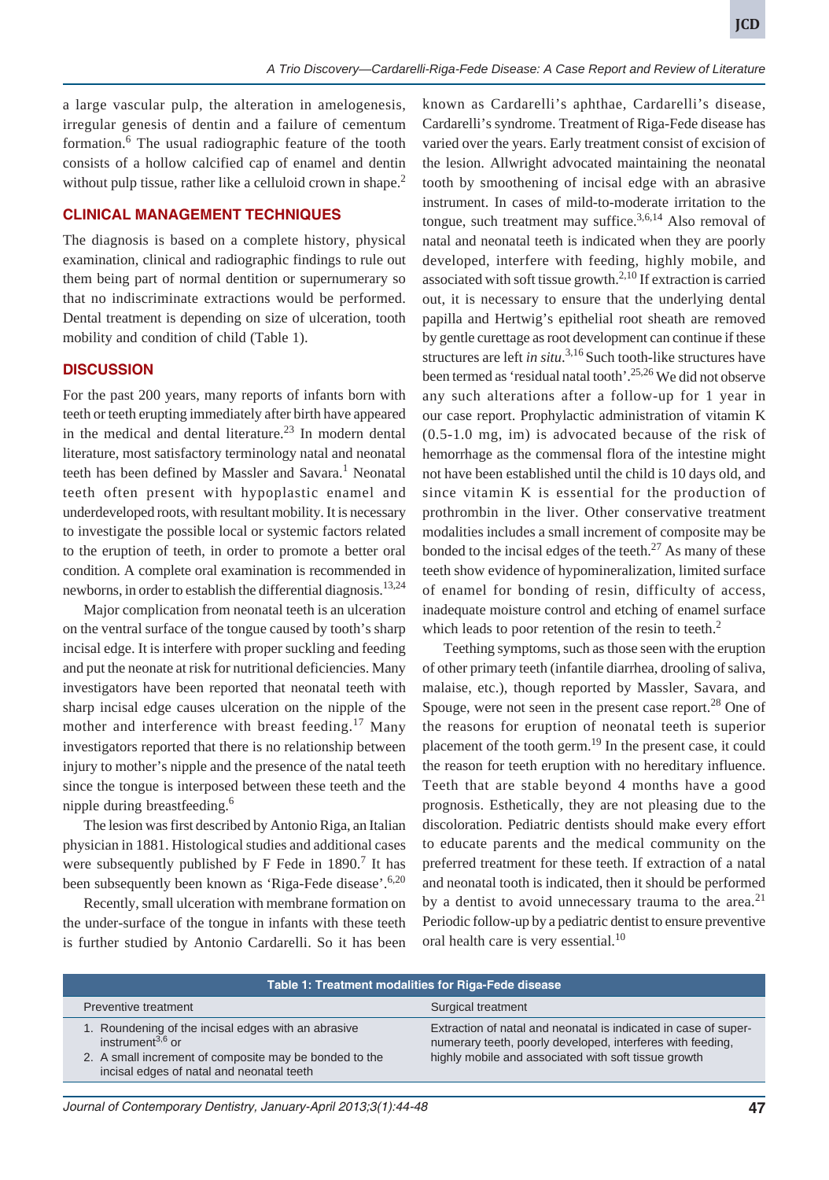a large vascular pulp, the alteration in amelogenesis, irregular genesis of dentin and a failure of cementum formation.<sup>6</sup> The usual radiographic feature of the tooth consists of a hollow calcified cap of enamel and dentin without pulp tissue, rather like a celluloid crown in shape.<sup>2</sup>

#### **CLINICAL MANAGEMENT TECHNIQUES**

The diagnosis is based on a complete history, physical examination, clinical and radiographic findings to rule out them being part of normal dentition or supernumerary so that no indiscriminate extractions would be performed. Dental treatment is depending on size of ulceration, tooth mobility and condition of child (Table 1).

#### **DISCUSSION**

For the past 200 years, many reports of infants born with teeth or teeth erupting immediately after birth have appeared in the medical and dental literature.<sup>23</sup> In modern dental literature, most satisfactory terminology natal and neonatal teeth has been defined by Massler and Savara.<sup>1</sup> Neonatal teeth often present with hypoplastic enamel and underdeveloped roots, with resultant mobility. It is necessary to investigate the possible local or systemic factors related to the eruption of teeth, in order to promote a better oral condition. A complete oral examination is recommended in newborns, in order to establish the differential diagnosis.<sup>13,24</sup>

Major complication from neonatal teeth is an ulceration on the ventral surface of the tongue caused by tooth's sharp incisal edge. It is interfere with proper suckling and feeding and put the neonate at risk for nutritional deficiencies. Many investigators have been reported that neonatal teeth with sharp incisal edge causes ulceration on the nipple of the mother and interference with breast feeding.<sup>17</sup> Many investigators reported that there is no relationship between injury to mother's nipple and the presence of the natal teeth since the tongue is interposed between these teeth and the nipple during breastfeeding.6

The lesion was first described by Antonio Riga, an Italian physician in 1881. Histological studies and additional cases were subsequently published by  $F$  Fede in 1890.<sup>7</sup> It has been subsequently been known as 'Riga-Fede disease'.<sup>6,20</sup>

Recently, small ulceration with membrane formation on the under-surface of the tongue in infants with these teeth is further studied by Antonio Cardarelli. So it has been known as Cardarelli's aphthae, Cardarelli's disease, Cardarelli's syndrome. Treatment of Riga-Fede disease has varied over the years. Early treatment consist of excision of the lesion. Allwright advocated maintaining the neonatal tooth by smoothening of incisal edge with an abrasive instrument. In cases of mild-to-moderate irritation to the tongue, such treatment may suffice. $3,6,14$  Also removal of natal and neonatal teeth is indicated when they are poorly developed, interfere with feeding, highly mobile, and associated with soft tissue growth.<sup>2,10</sup> If extraction is carried out, it is necessary to ensure that the underlying dental papilla and Hertwig's epithelial root sheath are removed by gentle curettage as root development can continue if these structures are left *in situ*. 3,16 Such tooth-like structures have been termed as 'residual natal tooth'.<sup>25,26</sup> We did not observe any such alterations after a follow-up for 1 year in our case report. Prophylactic administration of vitamin K (0.5-1.0 mg, im) is advocated because of the risk of hemorrhage as the commensal flora of the intestine might not have been established until the child is 10 days old, and since vitamin K is essential for the production of prothrombin in the liver. Other conservative treatment modalities includes a small increment of composite may be bonded to the incisal edges of the teeth. $27$  As many of these teeth show evidence of hypomineralization, limited surface of enamel for bonding of resin, difficulty of access, inadequate moisture control and etching of enamel surface which leads to poor retention of the resin to teeth. $<sup>2</sup>$ </sup>

Teething symptoms, such as those seen with the eruption of other primary teeth (infantile diarrhea, drooling of saliva, malaise, etc.), though reported by Massler, Savara, and Spouge, were not seen in the present case report.<sup>28</sup> One of the reasons for eruption of neonatal teeth is superior placement of the tooth germ.<sup>19</sup> In the present case, it could the reason for teeth eruption with no hereditary influence. Teeth that are stable beyond 4 months have a good prognosis. Esthetically, they are not pleasing due to the discoloration. Pediatric dentists should make every effort to educate parents and the medical community on the preferred treatment for these teeth. If extraction of a natal and neonatal tooth is indicated, then it should be performed by a dentist to avoid unnecessary trauma to the area.<sup>21</sup> Periodic follow-up by a pediatric dentist to ensure preventive oral health care is very essential.<sup>10</sup>

| Table 1: Treatment modalities for Riga-Fede disease |                                                                                                                                                                                      |                                                                                                                                                                                       |
|-----------------------------------------------------|--------------------------------------------------------------------------------------------------------------------------------------------------------------------------------------|---------------------------------------------------------------------------------------------------------------------------------------------------------------------------------------|
|                                                     | Preventive treatment                                                                                                                                                                 | Surgical treatment                                                                                                                                                                    |
|                                                     | 1. Roundening of the incisal edges with an abrasive<br>instrument $^{3,6}$ or<br>2. A small increment of composite may be bonded to the<br>incisal edges of natal and neonatal teeth | Extraction of natal and neonatal is indicated in case of super-<br>numerary teeth, poorly developed, interferes with feeding,<br>highly mobile and associated with soft tissue growth |